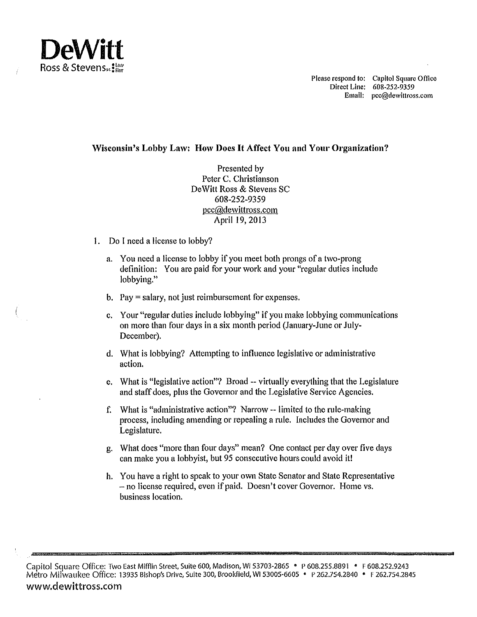

Please respond to: Capitol Square Office Direct Line: 608-252-9359 Email: pcc@dewittross.com

## **Wisconsin's Lobby Law: How Docs It Affect You and Your Organization?**

Presented by Peter C. Christianson DeWitt Ross & Stevens SC 608-252-9359 pcc@dewittross.com April 19, 2013

- I. Do I need a license to lobby?
	- a. You need a license to lobby if you meet both prongs of a two-prong definition: You are paid for your work and your "regular duties include lobbying."
	- b. Pay= salary, not just reimbursement for expenses.
	- c. Your "regular duties include lobbying" if you make lobbying communications on more than four days in a six month period (January-June or July-December).
	- d. What is lobbying? Attempting to influence legislative or administrative action.
	- e. What is "legislative action"? Broad --virtually everything that the Legislature and staff does, plus the Governor and the Legislative Service Agencies.
	- f. What is "administrative action"? Narrow -- limited to the rule-making process, including amending or repealing a rule. Includes the Governor and Legislature.
	- g. What does "more than four days" mean? One contact per day over five days can make you a lobbyist, but 95 consecutive hours could avoid it!
	- h. You have a right to speak to your own State Senator and State Representative -no license required, even if paid. Doesn't cover Governor. Home vs. business location.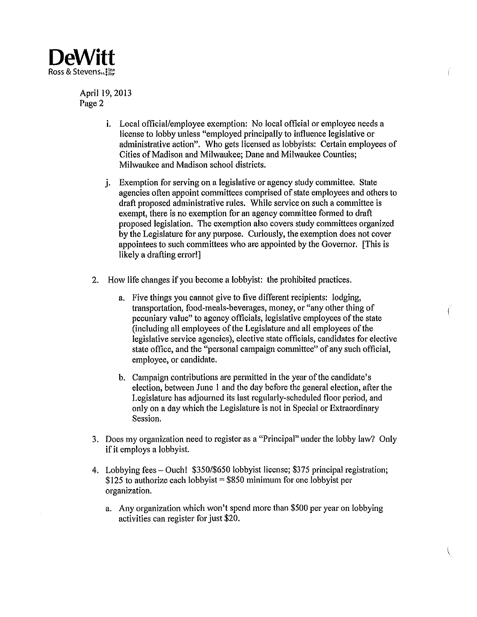

April 19, 2013 Page 2

- i. Local official/employee exemption: No local official or employee needs a license to lobby unless "employed principally to influence legislative or administrative action". Who gets licensed as lobbyists: Certain employees of Cities of Madison and Milwaukee; Dane and Milwaukee Counties; Milwaukee and Madison school districts.
- j. Exemption for serving on a legislative or agency study committee. State agencies often appoint committees comprised of state employees and others to draft proposed administrative rules. While service on such a committee is exempt, there is no exemption for an agency committee formed to draft proposed legislation. The exemption also covers study committees organized by the Legislature for any purpose. Curiously, the exemption does not cover appointees to such committees who are appointed by the Governor. [This is likely a drafting error!]
- 2. How life changes if you become a lobbyist: the prohibited practices.
	- a. Five things you cannot give to five different recipients: lodging, transportation, food-meals-beverages, money, or "any other thing of pecuniary value" to agency officials, legislative employees of the state (including all employees of the Legislature and all employees of the legislative service agencies), elective state officials, candidates for elective state office, and the "personal campaign committee" of any such official, employee, or candidate.
	- b. Campaign contributions are permitted in the year of the candidate's election, between June I and the day before the general election, after the Legislature has adjourned its last regularly-scheduled floor period, and only on a day which the Legislature is not in Special or Extraordinary Session.
- 3. Does my organization need to register as a "Principal" under the lobby law? Only if it employs a lobbyist.
- 4. Lobbying fees- Ouch! \$350/\$650 lobbyist license; \$375 principal registration; \$125 to authorize each lobbyist = \$850 minimum for one lobbyist per organization.
	- a. Any organization which won't spend more than \$500 per year on lobbying activities can register for just \$20.

 $\langle$